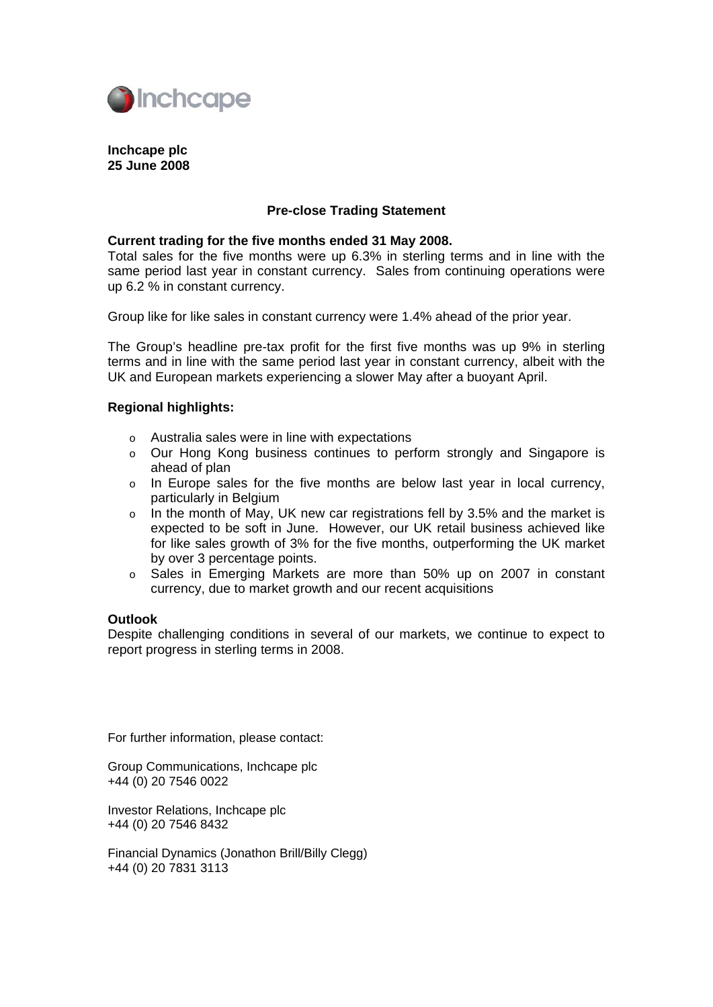

## **Inchcape plc 25 June 2008**

# **Pre-close Trading Statement**

#### **Current trading for the five months ended 31 May 2008.**

Total sales for the five months were up 6.3% in sterling terms and in line with the same period last year in constant currency. Sales from continuing operations were up 6.2 % in constant currency.

Group like for like sales in constant currency were 1.4% ahead of the prior year.

The Group's headline pre-tax profit for the first five months was up 9% in sterling terms and in line with the same period last year in constant currency, albeit with the UK and European markets experiencing a slower May after a buoyant April.

## **Regional highlights:**

- o Australia sales were in line with expectations
- o Our Hong Kong business continues to perform strongly and Singapore is ahead of plan
- o In Europe sales for the five months are below last year in local currency, particularly in Belgium
- o In the month of May, UK new car registrations fell by 3.5% and the market is expected to be soft in June. However, our UK retail business achieved like for like sales growth of 3% for the five months, outperforming the UK market by over 3 percentage points.
- o Sales in Emerging Markets are more than 50% up on 2007 in constant currency, due to market growth and our recent acquisitions

#### **Outlook**

Despite challenging conditions in several of our markets, we continue to expect to report progress in sterling terms in 2008.

For further information, please contact:

Group Communications, Inchcape plc +44 (0) 20 7546 0022

Investor Relations, Inchcape plc +44 (0) 20 7546 8432

Financial Dynamics (Jonathon Brill/Billy Clegg) +44 (0) 20 7831 3113